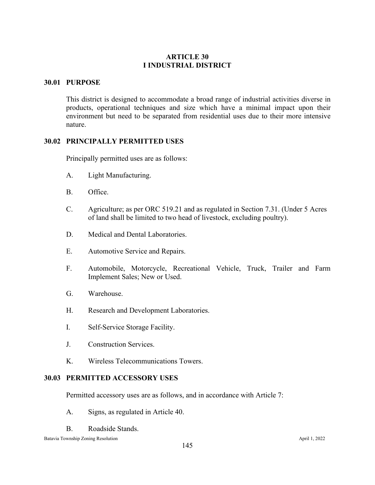# **ARTICLE 30 I INDUSTRIAL DISTRICT**

### **30.01 PURPOSE**

This district is designed to accommodate a broad range of industrial activities diverse in products, operational techniques and size which have a minimal impact upon their environment but need to be separated from residential uses due to their more intensive nature.

#### **30.02 PRINCIPALLY PERMITTED USES**

Principally permitted uses are as follows:

- A. Light Manufacturing.
- B. Office.
- C. Agriculture; as per ORC 519.21 and as regulated in Section 7.31. (Under 5 Acres of land shall be limited to two head of livestock, excluding poultry).
- D. Medical and Dental Laboratories.
- E. Automotive Service and Repairs.
- F. Automobile, Motorcycle, Recreational Vehicle, Truck, Trailer and Farm Implement Sales; New or Used.
- G. Warehouse.
- H. Research and Development Laboratories.
- I. Self-Service Storage Facility.
- J. Construction Services.
- K. Wireless Telecommunications Towers.

#### **30.03 PERMITTED ACCESSORY USES**

Permitted accessory uses are as follows, and in accordance with Article 7:

- A. Signs, as regulated in Article 40.
- B. Roadside Stands.

Batavia Township Zoning Resolution April 1, 2022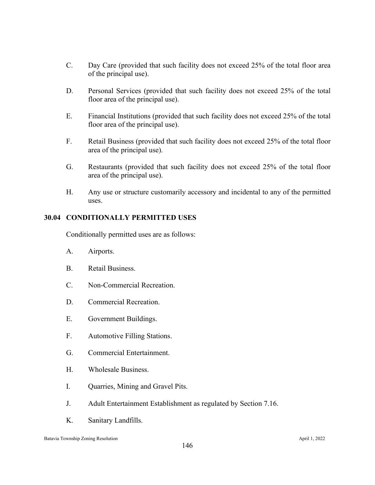- C. Day Care (provided that such facility does not exceed 25% of the total floor area of the principal use).
- D. Personal Services (provided that such facility does not exceed 25% of the total floor area of the principal use).
- E. Financial Institutions (provided that such facility does not exceed 25% of the total floor area of the principal use).
- F. Retail Business (provided that such facility does not exceed 25% of the total floor area of the principal use).
- G. Restaurants (provided that such facility does not exceed 25% of the total floor area of the principal use).
- H. Any use or structure customarily accessory and incidental to any of the permitted uses.

# **30.04 CONDITIONALLY PERMITTED USES**

Conditionally permitted uses are as follows:

- A. Airports.
- B. Retail Business.
- C. Non-Commercial Recreation.
- D. Commercial Recreation.
- E. Government Buildings.
- F. Automotive Filling Stations.
- G. Commercial Entertainment.
- H. Wholesale Business.
- I. Quarries, Mining and Gravel Pits.
- J. Adult Entertainment Establishment as regulated by Section 7.16.
- K. Sanitary Landfills.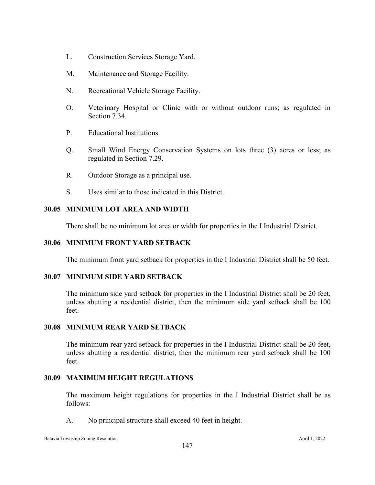- L. Construction Services Storage Yard.
- M. Maintenance and Storage Facility.
- N. Recreational Vehicle Storage Facility.
- O. Veterinary Hospital or Clinic with or without outdoor runs; as regulated in Section 7.34.
- P. Educational Institutions.
- Q. Small Wind Energy Conservation Systems on lots three (3) acres or less; as regulated in Section 7.29.
- R. Outdoor Storage as a principal use.
- S. Uses similar to those indicated in this District.

# **30.05 MINIMUM LOT AREA AND WIDTH**

There shall be no minimum lot area or width for properties in the I Industrial District.

## **30.06 MINIMUM FRONT YARD SETBACK**

The minimum front yard setback for properties in the I Industrial District shall be 50 feet.

### **30.07 MINIMUM SIDE YARD SETBACK**

The minimum side yard setback for properties in the I Industrial District shall be 20 feet, unless abutting a residential district, then the minimum side yard setback shall be 100 feet.

### **30.08 MINIMUM REAR YARD SETBACK**

The minimum rear yard setback for properties in the I Industrial District shall be 20 feet, unless abutting a residential district, then the minimum rear yard setback shall be 100 feet.

### **30.09 MAXIMUM HEIGHT REGULATIONS**

The maximum height regulations for properties in the I Industrial District shall be as follows:

A. No principal structure shall exceed 40 feet in height.